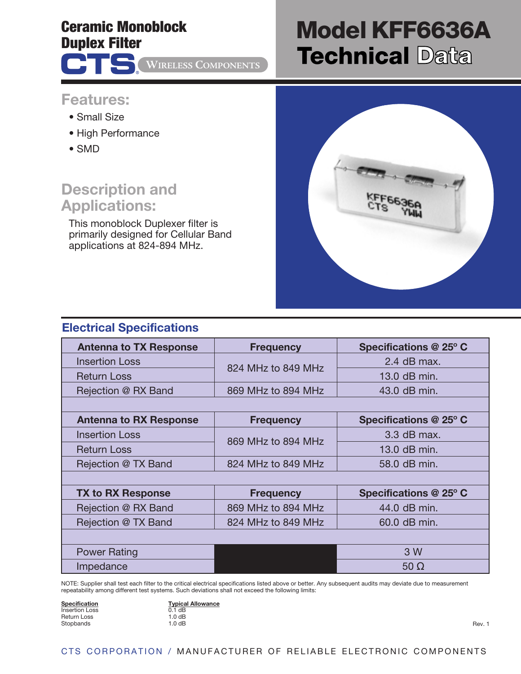## **Ceramic Monoblock Duplex Filter**

®

**ATS** 

**WIRELESS COMPONENTS**

# **Model KFF6636A Technical Data**

### **Features:**

- Small Size
- High Performance
- SMD

## **Description and Applications:**

This monoblock Duplexer filter is primarily designed for Cellular Band applications at 824-894 MHz.

| KFF6636A |  |
|----------|--|
|          |  |
|          |  |

#### **Electrical Specifications**

| <b>Antenna to TX Response</b> | <b>Frequency</b>   | Specifications @ 25° C |
|-------------------------------|--------------------|------------------------|
| <b>Insertion Loss</b>         | 824 MHz to 849 MHz | 2.4 dB max.            |
| <b>Return Loss</b>            |                    | 13.0 dB min.           |
| Rejection @ RX Band           | 869 MHz to 894 MHz | 43.0 dB min.           |
|                               |                    |                        |
| <b>Antenna to RX Response</b> | <b>Frequency</b>   | Specifications @ 25° C |
| <b>Insertion Loss</b>         | 869 MHz to 894 MHz | 3.3 dB max.            |
| <b>Return Loss</b>            |                    | 13.0 dB min.           |
| Rejection @ TX Band           | 824 MHz to 849 MHz | 58.0 dB min.           |
|                               |                    |                        |
| <b>TX to RX Response</b>      | <b>Frequency</b>   | Specifications @ 25° C |
| Rejection @ RX Band           | 869 MHz to 894 MHz | 44.0 dB min.           |
| Rejection @ TX Band           | 824 MHz to 849 MHz | 60.0 dB min.           |
|                               |                    |                        |
| <b>Power Rating</b>           |                    | 3 W                    |
| Impedance                     |                    | $50 \Omega$            |

NOTE: Supplier shall test each filter to the critical electrical specifications listed above or better. Any subsequent audits may deviate due to measurement repeatability among different test systems. Such deviations shall not exceed the following limits:

| Specification         |  |
|-----------------------|--|
| <b>Insertion Loss</b> |  |
| Return Loss           |  |
|                       |  |
| Stopbands             |  |

**Typical Allowance**  $0.1$  dB  $1.0$  dB  $1.0$  dB

Rev. 1

#### CTS CORPORATION / MANUFACTURER OF RELIABLE ELECTRONIC COMPONENTS